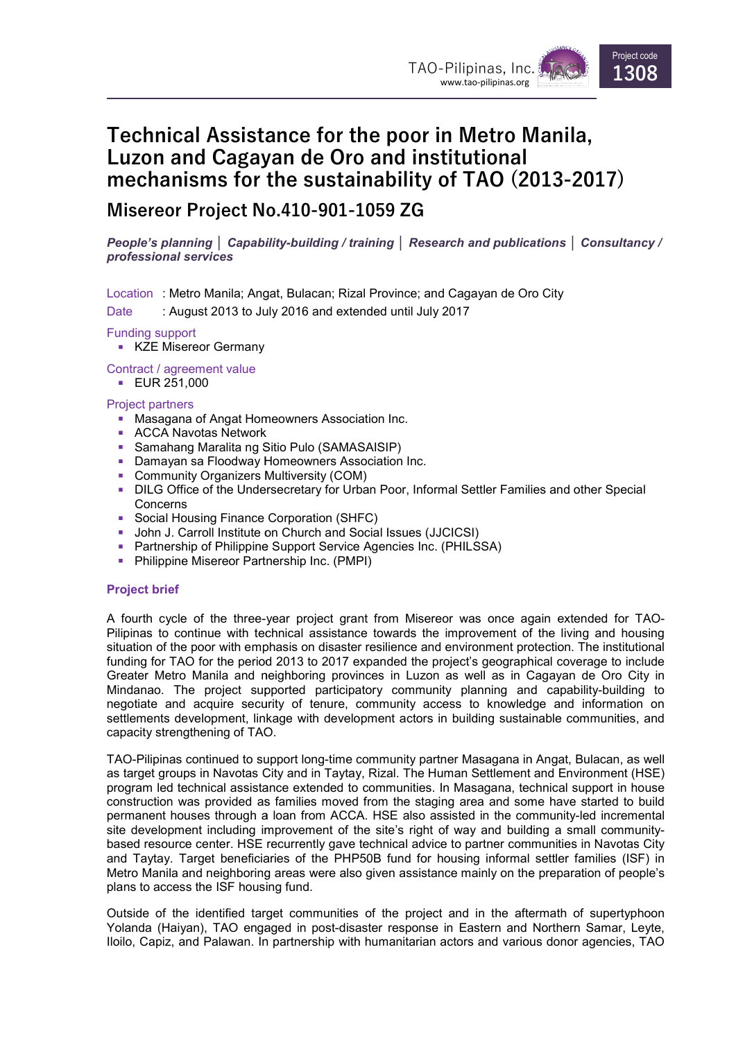

# Technical Assistance for the poor in Metro Manila, Luzon and Cagayan de Oro and institutional mechanisms for the sustainability of TAO mechanisms TAO (2013 2013-2017)

## Misereor Project No.410 Misereor No.410-901-1059 ZG

People's planning │ Capability-building / training │ Research and publications │ Consultancy / professional services

Location :Metro Manila; Angat, Bulacan; Rizal Province; and Cagayan de Oro City

Date : August 2013 to July 2016 and extended until July 2017

#### Funding support

**KZE Misereor Germany** 

Contract / agreement value

**EUR 251,000** 

#### Project partners

- Masagana of Angat Homeowners Association Inc.
- ACCA Navotas Network
- Samahang Maralita ng Sitio Pulo (SAMASAISIP)
- ACCA Navotas Network<br>■ Samahang Maralita ng Sitio Pulo (SAMASAISIP)<br>■ Damayan sa Floodway Homeowners Association Inc.
- **Community Organizers Multiversity (COM)**
- **DILG Office of the Undersecretary for Urban Poor, Informal Settler Families and other Special** Concerns gat, Bulacan; Rizal Province; and Cagayan de Oro City<br>ily 2016 and extended until July 2017<br>Filio Pulo (SAMASAISIP)<br>Homeowners Association Inc.<br>Multiversity (COM)<br>Multiversity (COM)<br>rsecretary for Urban Poor, Informal Sett
- **Social Housing Finance Corporation (SHFC)**
- **John J. Carroll Institute on Church and Social Issues (JJCICSI)**
- Partnership of Philippine Support Service Agencies Inc. (PHILSSA)
- **Philippine Misereor Partnership Inc. (PMPI)**

### Project brief

A fourth cycle of the three-year project grant from Misereor was once again extended for TAO-Pilipinas to continue with technical assistance towards the improvement of the living and housing situation of the poor with emphasis on disaster resilience and environment protection. The institutional funding for TAO for the period 2013 to 2017 expanded the project's geographical coverage to include Greater Metro Manila and neighboring provinces in Luzon as well as in Cagayan de Oro City in Mindanao. The project supported participatory community planning and capability-building to<br>negotiate and acquire security of tenure, community access to knowledge and information on negotiate and acquire security of tenure, community access to knowledge and information on settlements development, linkage with development actors in building sustainable communities, and capacity strengthening of TAO. ct's geographical coverage to include<br>well as in Cagayan de Oro City in<br>planning and capability-building to

capacity strengthening of TAO.<br>TAO-Pilipinas continued to support long-time community partner Masagana in Angat, Bulacan, as well as target groups in Navotas City and in Taytay, Rizal. The Human Settlement and Environment (HSE) program led technical assistance extended to communities. In Masagana, technical support in house construction was provided as families moved from the staging area and some have started to build TAO-Pilipinas continued to support long-time community partner Masagana in Angat, Bulacan, as well<br>as target groups in Navotas City and in Taytay, Rizal. The Human Settlement and Environment (HSE)<br>program led technical ass site development including improvement of the site's right of way and building a small communitybased resource center. HSE recurrently gave technical advice to partner communities in Navotas City and Taytay. Target beneficiaries of the PHP50B fund for housing informal settler families (ISF) in Metro Manila and neighboring areas were also given assistance mainly on the preparation of people's plans to access the ISF housing fund. site development including improvement of the site's right of way and building a small community-<br>based resource center. HSE recurrently gave technical advice to partner communities in Navotas City<br>and Taytay. Target benef

Outside of the identified target communities of the project and in the aftermath of supertyphoon Yolanda (Haiyan), TAO engaged in post-disaster response in Eastern and Northern Samar, Levte. lloilo, Capiz, and Palawan. In partnership with humanitarian actors and various donor agencies, TAO Metro Manila and neighboring areas were also given assistance mainly on the preparation of people's<br>plans to access the ISF housing fund.<br>Outside of the identified target communities of the project and in the a